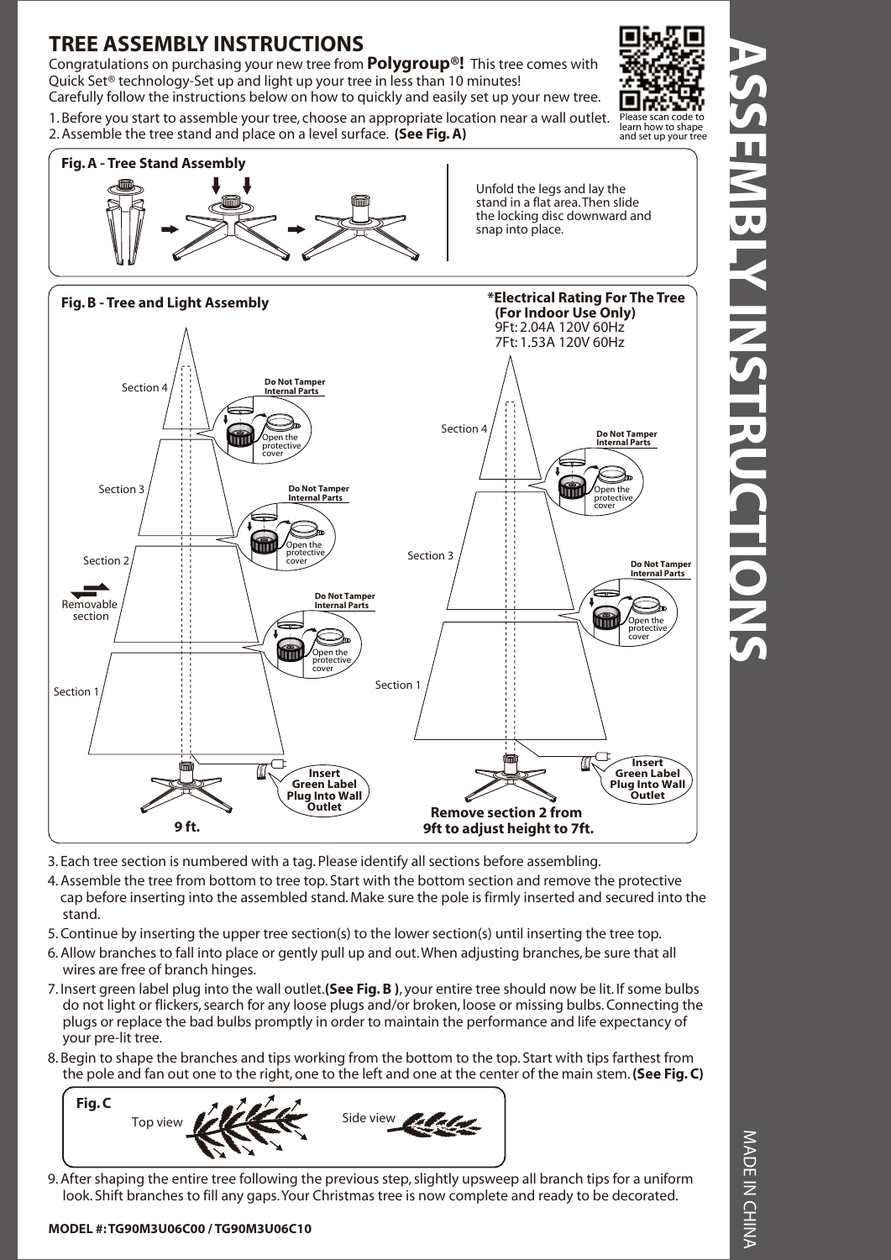## **TREE ASSEMBLY INSTRUCTIONS**

Congratulations on purchasing your new tree from **Polygroup®!** This tree comes with Quick Set® technology-Set up and light up your tree in less than 10 minutes!

1. Before you start to assemble your tree, choose an appropriate location near a wall outlet. 2. Assemble the tree stand and place on a level surface. **(See Fig. A)**





Unfold the legs and lay the stand in a flat area. Then slide the locking disc downward and snap into place.



- 3. Each tree section is numbered with a tag. Please identify all sections before assembling.
- 4. Assemble the tree from bottom to tree top. Start with the bottom section and remove the protective cap before inserting into the assembled stand. Make sure the pole is firmly inserted and secured into the stand.
- 5. Continue by inserting the upper tree section(s) to the lower section(s) until inserting the tree top.
- 6. Allow branches to fall into place or gently pull up and out. When adjusting branches, be sure that all wires are free of branch hinges.
- 7. Insert green label plug into the wall outlet.**(See Fig. B )**, your entire tree should now be lit. If some bulbs do not light or flickers, search for any loose plugs and/or broken, loose or missing bulbs. Connecting the plugs or replace the bad bulbs promptly in order to maintain the performance and life expectancy of your pre-lit tree.
- 8. Begin to shape the branches and tips working from the bottom to the top. Start with tips farthest from the pole and fan out one to the right, one to the left and one at the center of the main stem. **(See Fig. C)**



9. After shaping the entire tree following the previous step, slightly upsweep all branch tips for a uniform look. Shift branches to fill any gaps. Your Christmas tree is now complete and ready to be decorated.

#### **MODEL #: TG90M3U06C00 / TG90M3U06C10**